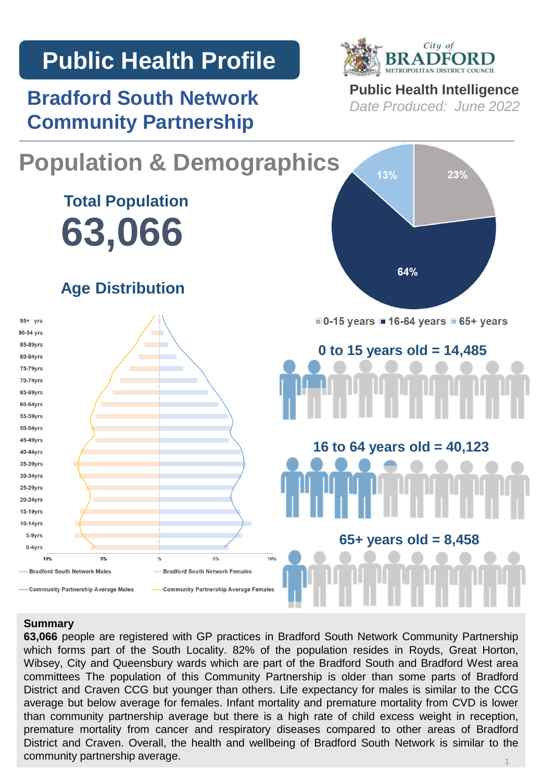# **Public Health Profile**

**Bradford South Network Community Partnership**



**Public Health Intelligence** *Date Produced: June 2022*



#### **Summary**

**63,066** people are registered with GP practices in Bradford South Network Community Partnership which forms part of the South Locality. 82% of the population resides in Royds, Great Horton, Wibsey, City and Queensbury wards which are part of the Bradford South and Bradford West area committees The population of this Community Partnership is older than some parts of Bradford District and Craven CCG but younger than others. Life expectancy for males is similar to the CCG average but below average for females. Infant mortality and premature mortality from CVD is lower than community partnership average but there is a high rate of child excess weight in reception, premature mortality from cancer and respiratory diseases compared to other areas of Bradford District and Craven. Overall, the health and wellbeing of Bradford South Network is similar to the community partnership average. 1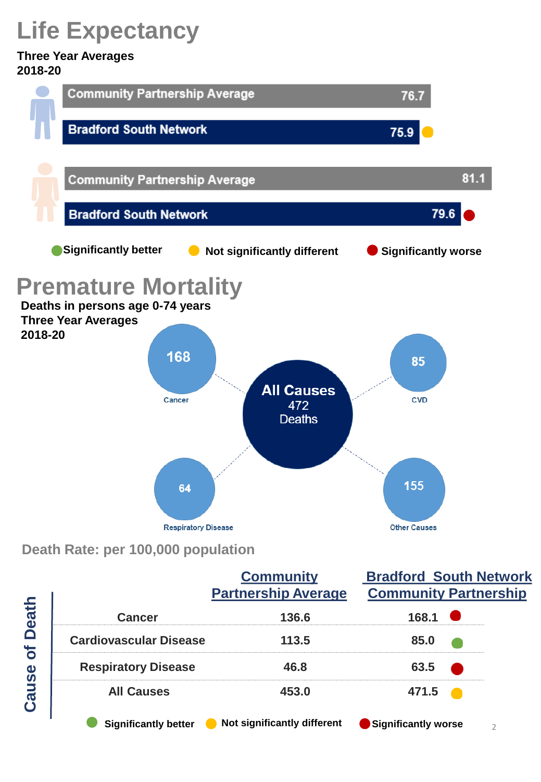# **Life Expectancy**

#### **Three Year Averages 2018-20**



## **Death Rate: per 100,000 population**

|                                   |                               | <b>Community</b><br><b>Partnership Average</b> | <b>Bradford South Network</b><br><b>Community Partnership</b> |
|-----------------------------------|-------------------------------|------------------------------------------------|---------------------------------------------------------------|
| <b>Death</b><br>$\delta$<br>Cause | <b>Cancer</b>                 | 136.6                                          | 168.1                                                         |
|                                   | <b>Cardiovascular Disease</b> | 113.5                                          | 85.0                                                          |
|                                   | <b>Respiratory Disease</b>    | 46.8                                           | 63.5                                                          |
|                                   | <b>All Causes</b>             | 453.0                                          | 471.5                                                         |
|                                   | <b>Significantly better</b>   | Not significantly different                    | <b>Significantly worse</b>                                    |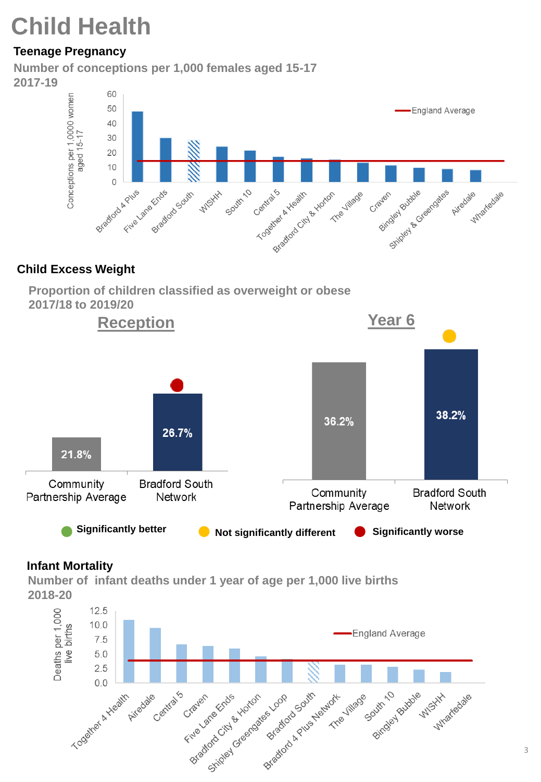# **Child Health**

## **Teenage Pregnancy**

**Number of conceptions per 1,000 females aged 15-17 2017-19**



### **Child Excess Weight**





### **Infant Mortality**

**Number of infant deaths under 1 year of age per 1,000 live births 2018-20**